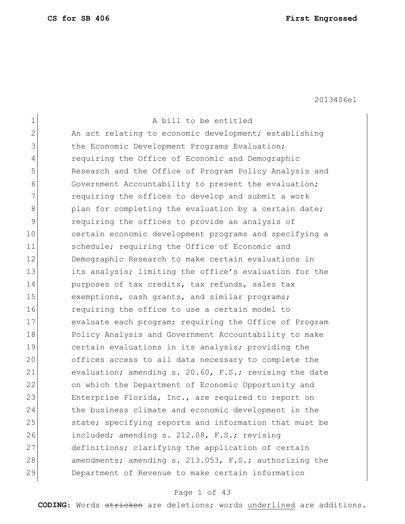$\mathbf{r}$ 

2013406e1

| $\mathbf 1$  | A bill to be entitled                                  |
|--------------|--------------------------------------------------------|
| $\mathbf{2}$ | An act relating to economic development; establishing  |
| 3            | the Economic Development Programs Evaluation;          |
| 4            | requiring the Office of Economic and Demographic       |
| 5            | Research and the Office of Program Policy Analysis and |
| 6            | Government Accountability to present the evaluation;   |
| 7            | requiring the offices to develop and submit a work     |
| 8            | plan for completing the evaluation by a certain date;  |
| $\mathsf 9$  | requiring the offices to provide an analysis of        |
| 10           | certain economic development programs and specifying a |
| 11           | schedule; requiring the Office of Economic and         |
| 12           | Demographic Research to make certain evaluations in    |
| 13           | its analysis; limiting the office's evaluation for the |
| 14           | purposes of tax credits, tax refunds, sales tax        |
| 15           | exemptions, cash grants, and similar programs;         |
| 16           | requiring the office to use a certain model to         |
| 17           | evaluate each program; requiring the Office of Program |
| 18           | Policy Analysis and Government Accountability to make  |
| 19           | certain evaluations in its analysis; providing the     |
| 20           | offices access to all data necessary to complete the   |
| 21           | evaluation; amending s. 20.60, F.S.; revising the date |
| 22           | on which the Department of Economic Opportunity and    |
| 23           | Enterprise Florida, Inc., are required to report on    |
| 24           | the business climate and economic development in the   |
| 25           | state; specifying reports and information that must be |
| 26           | included; amending s. 212.08, F.S.; revising           |
| 27           | definitions; clarifying the application of certain     |
| 28           | amendments; amending s. 213.053, F.S.; authorizing the |
| 29           | Department of Revenue to make certain information      |
|              |                                                        |

# Page 1 of 43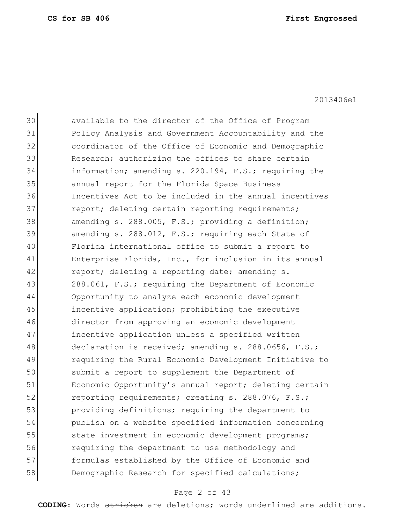2013406e1

30 available to the director of the Office of Program 31 Policy Analysis and Government Accountability and the 32 coordinator of the Office of Economic and Demographic 33 Research; authorizing the offices to share certain 34 information; amending s. 220.194, F.S.; requiring the 35 annual report for the Florida Space Business 36 Incentives Act to be included in the annual incentives 37 report; deleting certain reporting requirements; 38 amending s. 288.005, F.S.; providing a definition; 39 amending s. 288.012, F.S.; requiring each State of 40 Florida international office to submit a report to 41 Enterprise Florida, Inc., for inclusion in its annual 42 report; deleting a reporting date; amending s. 43 288.061, F.S.; requiring the Department of Economic 44 Opportunity to analyze each economic development 45 incentive application; prohibiting the executive 46 director from approving an economic development 47 incentive application unless a specified written 48 declaration is received; amending s. 288.0656, F.S.; 49 requiring the Rural Economic Development Initiative to 50 submit a report to supplement the Department of 51 Economic Opportunity's annual report; deleting certain 52 reporting requirements; creating s. 288.076, F.S.; 53 providing definitions; requiring the department to 54 publish on a website specified information concerning 55 state investment in economic development programs; 56 requiring the department to use methodology and 57 formulas established by the Office of Economic and 58 Demographic Research for specified calculations;

## Page 2 of 43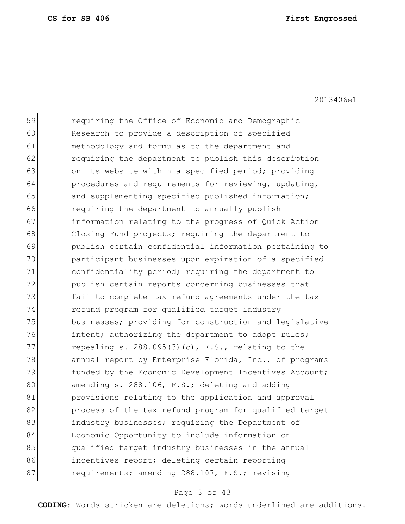| 59 | requiring the Office of Economic and Demographic       |
|----|--------------------------------------------------------|
| 60 | Research to provide a description of specified         |
| 61 | methodology and formulas to the department and         |
| 62 | requiring the department to publish this description   |
| 63 | on its website within a specified period; providing    |
| 64 | procedures and requirements for reviewing, updating,   |
| 65 | and supplementing specified published information;     |
| 66 | requiring the department to annually publish           |
| 67 | information relating to the progress of Quick Action   |
| 68 | Closing Fund projects; requiring the department to     |
| 69 | publish certain confidential information pertaining to |
| 70 | participant businesses upon expiration of a specified  |
| 71 | confidentiality period; requiring the department to    |
| 72 | publish certain reports concerning businesses that     |
| 73 | fail to complete tax refund agreements under the tax   |
| 74 | refund program for qualified target industry           |
| 75 | businesses; providing for construction and legislative |
| 76 | intent; authorizing the department to adopt rules;     |
| 77 | repealing s. $288.095(3)(c)$ , F.S., relating to the   |
| 78 | annual report by Enterprise Florida, Inc., of programs |
| 79 | funded by the Economic Development Incentives Account; |
| 80 | amending s. 288.106, F.S.; deleting and adding         |
| 81 | provisions relating to the application and approval    |
| 82 | process of the tax refund program for qualified target |
| 83 | industry businesses; requiring the Department of       |
| 84 | Economic Opportunity to include information on         |
| 85 | qualified target industry businesses in the annual     |
| 86 | incentives report; deleting certain reporting          |
| 87 | requirements; amending 288.107, F.S.; revising         |
|    |                                                        |

# Page 3 of 43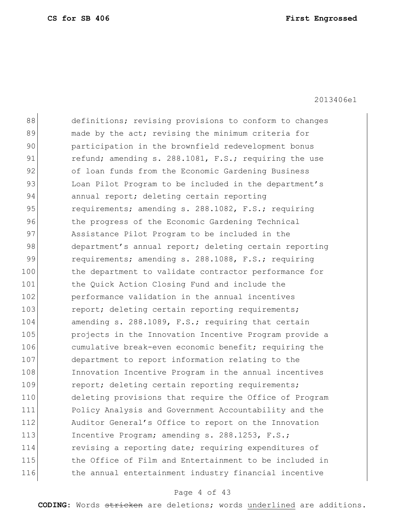88 definitions; revising provisions to conform to changes 89 made by the act; revising the minimum criteria for 90 participation in the brownfield redevelopment bonus 91 refund; amending s. 288.1081, F.S.; requiring the use 92 of loan funds from the Economic Gardening Business 93 Loan Pilot Program to be included in the department's 94 annual report; deleting certain reporting 95 requirements; amending s. 288.1082, F.S.; requiring 96 blog the progress of the Economic Gardening Technical 97 Assistance Pilot Program to be included in the 98 department's annual report; deleting certain reporting 99 requirements; amending s. 288.1088, F.S.; requiring 100 the department to validate contractor performance for 101 the Quick Action Closing Fund and include the 102 performance validation in the annual incentives 103 report; deleting certain reporting requirements; 104 amending s. 288.1089, F.S.; requiring that certain 105 **projects** in the Innovation Incentive Program provide a 106 cumulative break-even economic benefit; requiring the 107 department to report information relating to the 108 Innovation Incentive Program in the annual incentives 109 report; deleting certain reporting requirements; 110 deleting provisions that require the Office of Program 111 Policy Analysis and Government Accountability and the 112 Auditor General's Office to report on the Innovation 113 Incentive Program; amending s. 288.1253, F.S.; 114 revising a reporting date; requiring expenditures of 115 the Office of Film and Entertainment to be included in 116 the annual entertainment industry financial incentive

## Page 4 of 43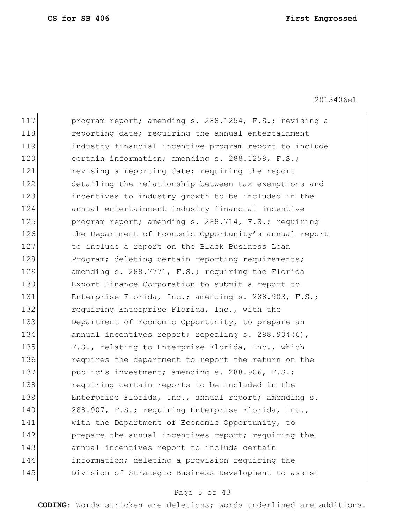2013406e1

117 program report; amending s. 288.1254, F.S.; revising a 118 reporting date; requiring the annual entertainment 119 industry financial incentive program report to include 120 certain information; amending s. 288.1258, F.S.; 121 **revising a reporting date; requiring the report** 122 detailing the relationship between tax exemptions and 123 incentives to industry growth to be included in the 124 annual entertainment industry financial incentive 125 program report; amending s. 288.714, F.S.; requiring 126 the Department of Economic Opportunity's annual report 127 to include a report on the Black Business Loan 128 Program; deleting certain reporting requirements; 129 amending s. 288.7771, F.S.; requiring the Florida 130 Export Finance Corporation to submit a report to 131 Enterprise Florida, Inc.; amending s. 288.903, F.S.; 132 requiring Enterprise Florida, Inc., with the 133 Department of Economic Opportunity, to prepare an 134 annual incentives report; repealing s. 288.904(6), 135 F.S., relating to Enterprise Florida, Inc., which 136 requires the department to report the return on the 137 public's investment; amending s. 288.906, F.S.; 138 requiring certain reports to be included in the 139 Enterprise Florida, Inc., annual report; amending s. 140 288.907, F.S.; requiring Enterprise Florida, Inc., 141 With the Department of Economic Opportunity, to 142 **prepare the annual incentives report; requiring the** 143 annual incentives report to include certain 144 information; deleting a provision requiring the 145 Division of Strategic Business Development to assist

## Page 5 of 43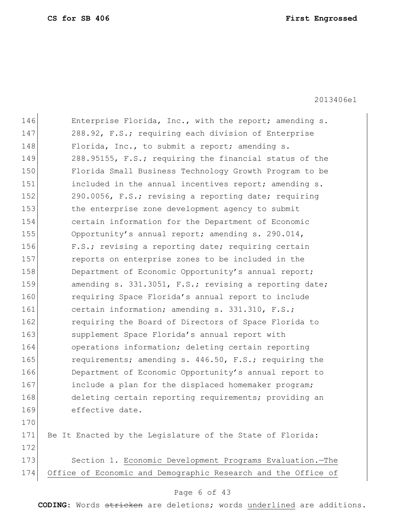2013406e1

| 146 | Enterprise Florida, Inc., with the report; amending s.        |
|-----|---------------------------------------------------------------|
| 147 | 288.92, F.S.; requiring each division of Enterprise           |
| 148 | Florida, Inc., to submit a report; amending s.                |
| 149 | 288.95155, F.S.; requiring the financial status of the        |
| 150 | Florida Small Business Technology Growth Program to be        |
| 151 | included in the annual incentives report; amending s.         |
| 152 | 290.0056, F.S.; revising a reporting date; requiring          |
| 153 | the enterprise zone development agency to submit              |
| 154 | certain information for the Department of Economic            |
| 155 | Opportunity's annual report; amending s. 290.014,             |
| 156 | F.S.; revising a reporting date; requiring certain            |
| 157 | reports on enterprise zones to be included in the             |
| 158 | Department of Economic Opportunity's annual report;           |
| 159 | amending s. 331.3051, F.S.; revising a reporting date;        |
| 160 | requiring Space Florida's annual report to include            |
| 161 | certain information; amending s. 331.310, F.S.;               |
| 162 | requiring the Board of Directors of Space Florida to          |
| 163 | supplement Space Florida's annual report with                 |
| 164 | operations information; deleting certain reporting            |
| 165 | requirements; amending s. 446.50, F.S.; requiring the         |
| 166 | Department of Economic Opportunity's annual report to         |
| 167 | include a plan for the displaced homemaker program;           |
| 168 | deleting certain reporting requirements; providing an         |
| 169 | effective date.                                               |
| 170 |                                                               |
| 171 | Be It Enacted by the Legislature of the State of Florida:     |
| 172 |                                                               |
| 173 | Section 1. Economic Development Programs Evaluation.-The      |
| 174 | Office of Economic and Demographic Research and the Office of |
|     |                                                               |

# Page 6 of 43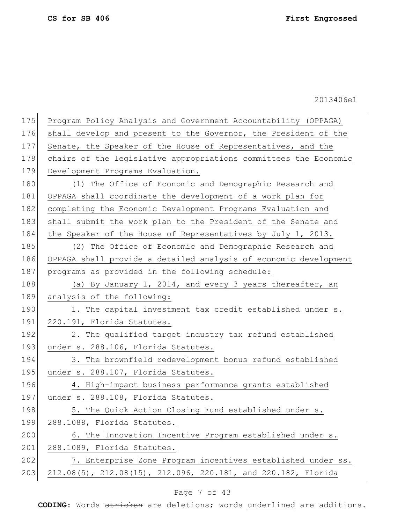175 Program Policy Analysis and Government Accountability (OPPAGA) 176 shall develop and present to the Governor, the President of the 177 Senate, the Speaker of the House of Representatives, and the 178 chairs of the legislative appropriations committees the Economic 179 Development Programs Evaluation. 180 (1) The Office of Economic and Demographic Research and 181 OPPAGA shall coordinate the development of a work plan for 182 completing the Economic Development Programs Evaluation and 183 shall submit the work plan to the President of the Senate and 184 the Speaker of the House of Representatives by July 1, 2013. 185 (2) The Office of Economic and Demographic Research and 186 OPPAGA shall provide a detailed analysis of economic development 187 programs as provided in the following schedule: 188 (a) By January 1, 2014, and every 3 years thereafter, an 189 analysis of the following: 190 1. The capital investment tax credit established under s. 191 220.191, Florida Statutes. 192 2. The qualified target industry tax refund established 193 under s. 288.106, Florida Statutes. 194 3. The brownfield redevelopment bonus refund established 195 under s. 288.107, Florida Statutes. 196 4. High-impact business performance grants established 197 under s. 288.108, Florida Statutes. 198 5. The Quick Action Closing Fund established under s. 199 288.1088, Florida Statutes. 200 6. The Innovation Incentive Program established under s.

201 288.1089, Florida Statutes.

202 7. Enterprise Zone Program incentives established under ss. 203 212.08(5), 212.08(15), 212.096, 220.181, and 220.182, Florida

## Page 7 of 43

**CODING**: Words stricken are deletions; words underlined are additions.

2013406e1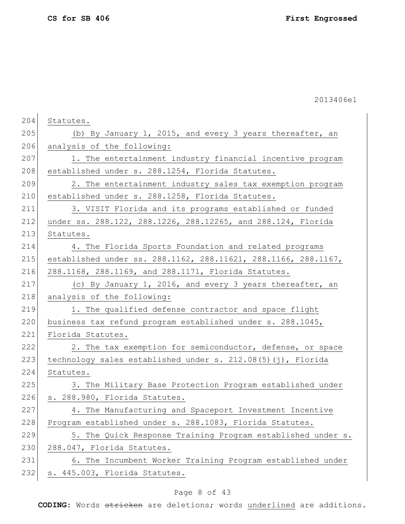2013406e1

| 204 | Statutes.                                                      |
|-----|----------------------------------------------------------------|
| 205 | (b) By January 1, 2015, and every 3 years thereafter, an       |
| 206 | analysis of the following:                                     |
| 207 | 1. The entertainment industry financial incentive program      |
| 208 | established under s. 288.1254, Florida Statutes.               |
| 209 | 2. The entertainment industry sales tax exemption program      |
| 210 | established under s. 288.1258, Florida Statutes.               |
| 211 | 3. VISIT Florida and its programs established or funded        |
| 212 | under ss. 288.122, 288.1226, 288.12265, and 288.124, Florida   |
| 213 | Statutes.                                                      |
| 214 | 4. The Florida Sports Foundation and related programs          |
| 215 | established under ss. 288.1162, 288.11621, 288.1166, 288.1167, |
| 216 | 288.1168, 288.1169, and 288.1171, Florida Statutes.            |
| 217 | (c) By January 1, 2016, and every 3 years thereafter, an       |
| 218 | analysis of the following:                                     |
| 219 | 1. The qualified defense contractor and space flight           |
| 220 | business tax refund program established under s. 288.1045,     |
| 221 | Florida Statutes.                                              |
| 222 | 2. The tax exemption for semiconductor, defense, or space      |
| 223 | technology sales established under s. 212.08(5)(j), Florida    |
| 224 | Statutes.                                                      |
| 225 | 3. The Military Base Protection Program established under      |
| 226 | s. 288.980, Florida Statutes.                                  |
| 227 | 4. The Manufacturing and Spaceport Investment Incentive        |
| 228 | Program established under s. 288.1083, Florida Statutes.       |
| 229 | 5. The Quick Response Training Program established under s.    |
| 230 | 288.047, Florida Statutes.                                     |
| 231 | 6. The Incumbent Worker Training Program established under     |
| 232 | s. 445.003, Florida Statutes.                                  |
|     |                                                                |

# Page 8 of 43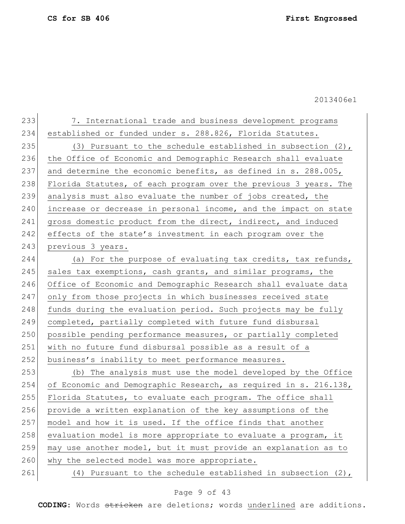| 233 | 7. International trade and business development programs         |
|-----|------------------------------------------------------------------|
| 234 | established or funded under s. 288.826, Florida Statutes.        |
| 235 | (3) Pursuant to the schedule established in subsection $(2)$ ,   |
| 236 | the Office of Economic and Demographic Research shall evaluate   |
| 237 | and determine the economic benefits, as defined in s. 288.005,   |
| 238 | Florida Statutes, of each program over the previous 3 years. The |
| 239 | analysis must also evaluate the number of jobs created, the      |
| 240 | increase or decrease in personal income, and the impact on state |
| 241 | gross domestic product from the direct, indirect, and induced    |
| 242 | effects of the state's investment in each program over the       |
| 243 | previous 3 years.                                                |
| 244 | (a) For the purpose of evaluating tax credits, tax refunds,      |
| 245 | sales tax exemptions, cash grants, and similar programs, the     |
| 246 | Office of Economic and Demographic Research shall evaluate data  |
| 247 | only from those projects in which businesses received state      |
| 248 | funds during the evaluation period. Such projects may be fully   |
| 249 | completed, partially completed with future fund disbursal        |
| 250 | possible pending performance measures, or partially completed    |
| 251 | with no future fund disbursal possible as a result of a          |
| 252 | business's inability to meet performance measures.               |
| 253 | (b) The analysis must use the model developed by the Office      |
| 254 | of Economic and Demographic Research, as required in s. 216.138, |
| 255 | Florida Statutes, to evaluate each program. The office shall     |
| 256 | provide a written explanation of the key assumptions of the      |
| 257 | model and how it is used. If the office finds that another       |
| 258 | evaluation model is more appropriate to evaluate a program, it   |
| 259 | may use another model, but it must provide an explanation as to  |
| 260 | why the selected model was more appropriate.                     |
| 261 | (4) Pursuant to the schedule established in subsection $(2)$ ,   |

# Page 9 of 43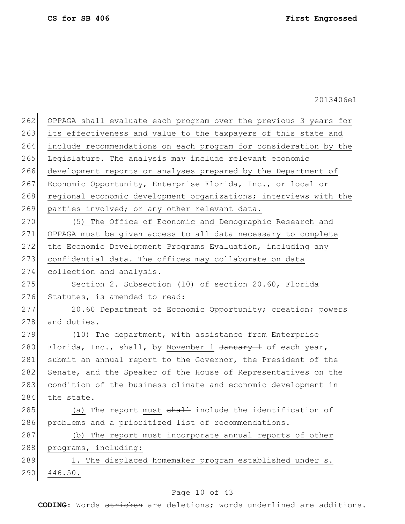| 262 | OPPAGA shall evaluate each program over the previous 3 years for |
|-----|------------------------------------------------------------------|
| 263 | its effectiveness and value to the taxpayers of this state and   |
| 264 | include recommendations on each program for consideration by the |
| 265 | Legislature. The analysis may include relevant economic          |
| 266 | development reports or analyses prepared by the Department of    |
| 267 | Economic Opportunity, Enterprise Florida, Inc., or local or      |
| 268 | regional economic development organizations; interviews with the |
| 269 | parties involved; or any other relevant data.                    |
| 270 | (5) The Office of Economic and Demographic Research and          |
| 271 | OPPAGA must be given access to all data necessary to complete    |
| 272 | the Economic Development Programs Evaluation, including any      |
| 273 | confidential data. The offices may collaborate on data           |
| 274 | collection and analysis.                                         |
| 275 | Section 2. Subsection (10) of section 20.60, Florida             |
| 276 | Statutes, is amended to read:                                    |
| 277 | 20.60 Department of Economic Opportunity; creation; powers       |
| 278 | and duties.-                                                     |
| 279 | (10) The department, with assistance from Enterprise             |
| 280 | Florida, Inc., shall, by November 1 January 1 of each year,      |
| 281 | submit an annual report to the Governor, the President of the    |
| 282 | Senate, and the Speaker of the House of Representatives on the   |
| 283 | condition of the business climate and economic development in    |
| 284 | the state.                                                       |
| 285 | (a) The report must shall include the identification of          |
| 286 | problems and a prioritized list of recommendations.              |
| 287 | The report must incorporate annual reports of other<br>(b)       |
| 288 | programs, including:                                             |
| 289 | 1. The displaced homemaker program established under s.          |
| 290 | 446.50.                                                          |
|     |                                                                  |

# Page 10 of 43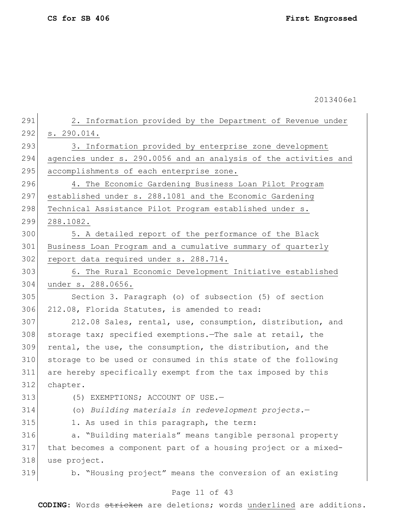2013406e1

Page 11 of 43 291 2. Information provided by the Department of Revenue under 292 s. 290.014. 293 3. Information provided by enterprise zone development 294 agencies under s. 290.0056 and an analysis of the activities and 295 accomplishments of each enterprise zone. 296 4. The Economic Gardening Business Loan Pilot Program 297 established under s. 288.1081 and the Economic Gardening 298 Technical Assistance Pilot Program established under s. 299 288.1082. 300 5. A detailed report of the performance of the Black 301 Business Loan Program and a cumulative summary of quarterly 302 report data required under s. 288.714. 303 6. The Rural Economic Development Initiative established 304 under s. 288.0656. 305 Section 3. Paragraph (o) of subsection (5) of section 306 212.08, Florida Statutes, is amended to read: 307 212.08 Sales, rental, use, consumption, distribution, and 308 storage tax; specified exemptions. The sale at retail, the 309 rental, the use, the consumption, the distribution, and the 310 storage to be used or consumed in this state of the following 311 are hereby specifically exempt from the tax imposed by this 312 chapter. 313 (5) EXEMPTIONS; ACCOUNT OF USE. 314 (o) *Building materials in redevelopment projects.*— 315 1. As used in this paragraph, the term: 316 a. "Building materials" means tangible personal property 317 that becomes a component part of a housing project or a mixed-318 use project. 319 b. "Housing project" means the conversion of an existing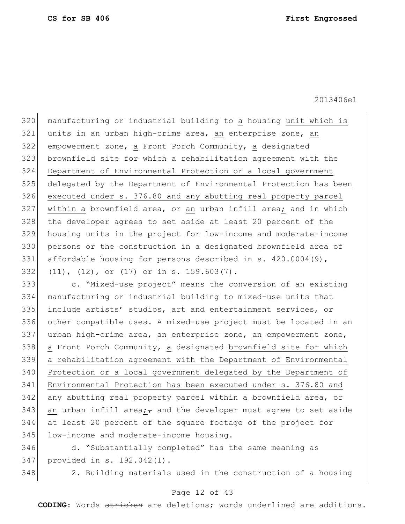manufacturing or industrial building to a housing unit which is 321 units in an urban high-crime area, an enterprise zone, an empowerment zone, a Front Porch Community, a designated brownfield site for which a rehabilitation agreement with the Department of Environmental Protection or a local government delegated by the Department of Environmental Protection has been executed under s. 376.80 and any abutting real property parcel 327 within a brownfield area, or an urban infill area; and in which the developer agrees to set aside at least 20 percent of the housing units in the project for low-income and moderate-income persons or the construction in a designated brownfield area of 331 affordable housing for persons described in s. 420.0004(9), (11), (12), or (17) or in s. 159.603(7).

 c. "Mixed-use project" means the conversion of an existing manufacturing or industrial building to mixed-use units that include artists' studios, art and entertainment services, or other compatible uses. A mixed-use project must be located in an 337 urban high-crime area, an enterprise zone, an empowerment zone, a Front Porch Community, a designated brownfield site for which a rehabilitation agreement with the Department of Environmental Protection or a local government delegated by the Department of Environmental Protection has been executed under s. 376.80 and 342 any abutting real property parcel within a brownfield area, or 343 an urban infill area; and the developer must agree to set aside at least 20 percent of the square footage of the project for 345 low-income and moderate-income housing.

 d. "Substantially completed" has the same meaning as provided in s. 192.042(1).

348 2. Building materials used in the construction of a housing

## Page 12 of 43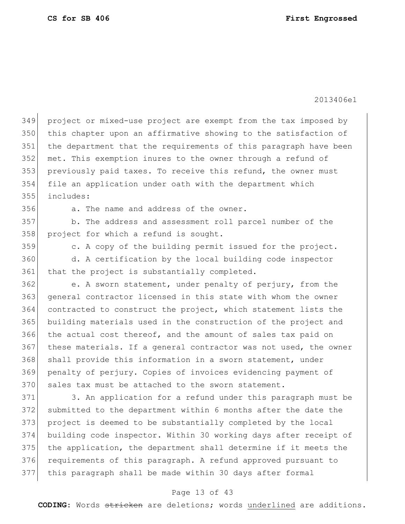2013406e1

 project or mixed-use project are exempt from the tax imposed by this chapter upon an affirmative showing to the satisfaction of 351 the department that the requirements of this paragraph have been met. This exemption inures to the owner through a refund of 353 previously paid taxes. To receive this refund, the owner must file an application under oath with the department which includes:

356 a. The name and address of the owner.

357 b. The address and assessment roll parcel number of the 358 project for which a refund is sought.

359 c. A copy of the building permit issued for the project. 360 d. A certification by the local building code inspector 361 that the project is substantially completed.

 e. A sworn statement, under penalty of perjury, from the general contractor licensed in this state with whom the owner contracted to construct the project, which statement lists the building materials used in the construction of the project and 366 the actual cost thereof, and the amount of sales tax paid on these materials. If a general contractor was not used, the owner 368 shall provide this information in a sworn statement, under penalty of perjury. Copies of invoices evidencing payment of 370 sales tax must be attached to the sworn statement.

 3. An application for a refund under this paragraph must be submitted to the department within 6 months after the date the project is deemed to be substantially completed by the local building code inspector. Within 30 working days after receipt of 375 the application, the department shall determine if it meets the 376 requirements of this paragraph. A refund approved pursuant to this paragraph shall be made within 30 days after formal

## Page 13 of 43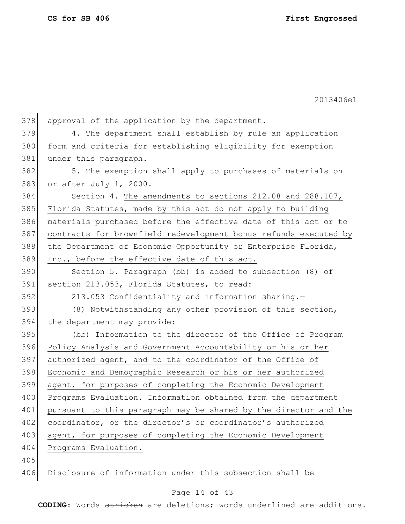2013406e1

| 378 | approval of the application by the department.                   |
|-----|------------------------------------------------------------------|
| 379 | 4. The department shall establish by rule an application         |
| 380 | form and criteria for establishing eligibility for exemption     |
| 381 | under this paragraph.                                            |
| 382 | 5. The exemption shall apply to purchases of materials on        |
| 383 | or after July 1, 2000.                                           |
| 384 | Section 4. The amendments to sections 212.08 and 288.107,        |
| 385 | Florida Statutes, made by this act do not apply to building      |
| 386 | materials purchased before the effective date of this act or to  |
| 387 | contracts for brownfield redevelopment bonus refunds executed by |
| 388 | the Department of Economic Opportunity or Enterprise Florida,    |
| 389 | Inc., before the effective date of this act.                     |
| 390 | Section 5. Paragraph (bb) is added to subsection (8) of          |
| 391 | section 213.053, Florida Statutes, to read:                      |
| 392 | 213.053 Confidentiality and information sharing.-                |
| 393 | (8) Notwithstanding any other provision of this section,         |
| 394 | the department may provide:                                      |
| 395 | (bb) Information to the director of the Office of Program        |
| 396 | Policy Analysis and Government Accountability or his or her      |
| 397 | authorized agent, and to the coordinator of the Office of        |
| 398 | Economic and Demographic Research or his or her authorized       |
| 399 | agent, for purposes of completing the Economic Development       |
| 400 | Programs Evaluation. Information obtained from the department    |
| 401 | pursuant to this paragraph may be shared by the director and the |
| 402 | coordinator, or the director's or coordinator's authorized       |
| 403 | agent, for purposes of completing the Economic Development       |
| 404 | Programs Evaluation.                                             |
| 405 |                                                                  |
| 406 | Disclosure of information under this subsection shall be         |
|     |                                                                  |

# Page 14 of 43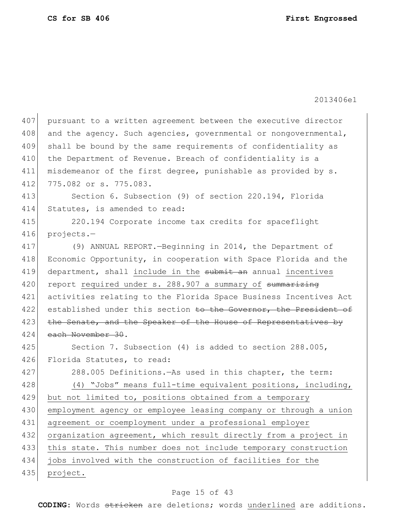| 407 | pursuant to a written agreement between the executive director   |
|-----|------------------------------------------------------------------|
| 408 | and the agency. Such agencies, governmental or nongovernmental,  |
| 409 | shall be bound by the same requirements of confidentiality as    |
| 410 | the Department of Revenue. Breach of confidentiality is a        |
| 411 | misdemeanor of the first degree, punishable as provided by s.    |
| 412 | 775.082 or s. 775.083.                                           |
| 413 | Section 6. Subsection (9) of section 220.194, Florida            |
| 414 | Statutes, is amended to read:                                    |
| 415 | 220.194 Corporate income tax credits for spaceflight             |
| 416 | projects.-                                                       |
| 417 | (9) ANNUAL REPORT. - Beginning in 2014, the Department of        |
| 418 | Economic Opportunity, in cooperation with Space Florida and the  |
| 419 | department, shall include in the submit an annual incentives     |
| 420 | report required under s. 288.907 a summary of summarizing        |
| 421 | activities relating to the Florida Space Business Incentives Act |
| 422 | established under this section to the Governor, the President of |
| 423 | the Senate, and the Speaker of the House of Representatives by   |
| 424 | each November 30.                                                |
| 425 | Section 7. Subsection (4) is added to section 288.005,           |
| 426 | Florida Statutes, to read:                                       |
| 427 | 288.005 Definitions. As used in this chapter, the term:          |
| 428 | (4) "Jobs" means full-time equivalent positions, including,      |
| 429 | but not limited to, positions obtained from a temporary          |
| 430 | employment agency or employee leasing company or through a union |
| 431 | agreement or coemployment under a professional employer          |
| 432 | organization agreement, which result directly from a project in  |
| 433 | this state. This number does not include temporary construction  |
| 434 | jobs involved with the construction of facilities for the        |
| 435 | project.                                                         |
|     |                                                                  |

# Page 15 of 43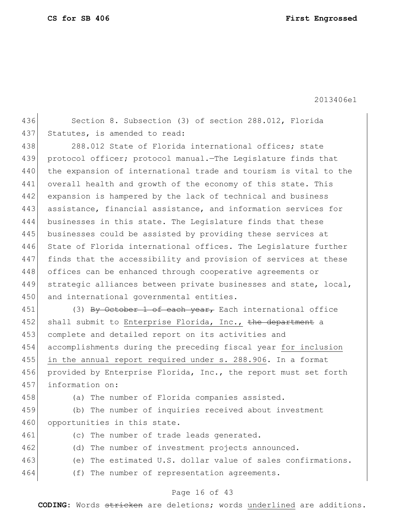2013406e1

436 Section 8. Subsection (3) of section 288.012, Florida 437 Statutes, is amended to read:

438 288.012 State of Florida international offices; state 439 protocol officer; protocol manual.—The Legislature finds that 440 the expansion of international trade and tourism is vital to the 441 overall health and growth of the economy of this state. This 442 expansion is hampered by the lack of technical and business 443 assistance, financial assistance, and information services for 444 businesses in this state. The Legislature finds that these 445 businesses could be assisted by providing these services at 446 State of Florida international offices. The Legislature further 447 finds that the accessibility and provision of services at these 448 offices can be enhanced through cooperative agreements or 449 strategic alliances between private businesses and state, local, 450 and international governmental entities.

451 (3) By October 1 of each year, Each international office 452 shall submit to Enterprise Florida, Inc., the department a 453 complete and detailed report on its activities and 454 accomplishments during the preceding fiscal year for inclusion 455 in the annual report required under s. 288.906. In a format 456 provided by Enterprise Florida, Inc., the report must set forth 457 information on:

458 (a) The number of Florida companies assisted.

459 (b) The number of inquiries received about investment 460 opportunities in this state.

- 461 (c) The number of trade leads generated.
- 462 (d) The number of investment projects announced.
- 463 (e) The estimated U.S. dollar value of sales confirmations.
- 464 (f) The number of representation agreements.

## Page 16 of 43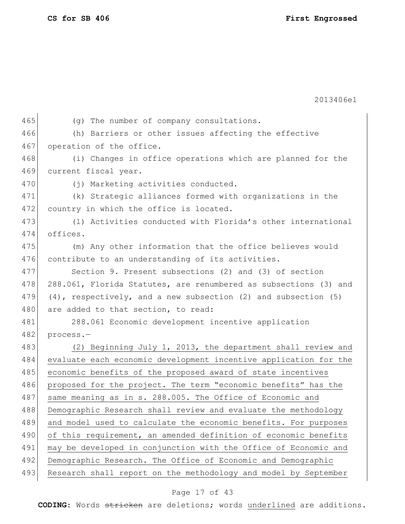2013406e1 465 (g) The number of company consultations. 466 (h) Barriers or other issues affecting the effective 467 operation of the office. 468 (i) Changes in office operations which are planned for the 469 current fiscal year. 470 (j) Marketing activities conducted. 471 (k) Strategic alliances formed with organizations in the 472 country in which the office is located. 473 (1) Activities conducted with Florida's other international 474 offices. 475 (m) Any other information that the office believes would 476 contribute to an understanding of its activities. 477 Section 9. Present subsections (2) and (3) of section 478 288.061, Florida Statutes, are renumbered as subsections (3) and 479  $(4)$ , respectively, and a new subsection  $(2)$  and subsection  $(5)$ 480 are added to that section, to read: 481 288.061 Economic development incentive application 482 process.-483 (2) Beginning July 1, 2013, the department shall review and 484 evaluate each economic development incentive application for the 485 economic benefits of the proposed award of state incentives 486 proposed for the project. The term "economic benefits" has the 487 same meaning as in s. 288.005. The Office of Economic and 488 Demographic Research shall review and evaluate the methodology 489 and model used to calculate the economic benefits. For purposes 490 of this requirement, an amended definition of economic benefits 491 may be developed in conjunction with the Office of Economic and 492 Demographic Research. The Office of Economic and Demographic 493 Research shall report on the methodology and model by September

## Page 17 of 43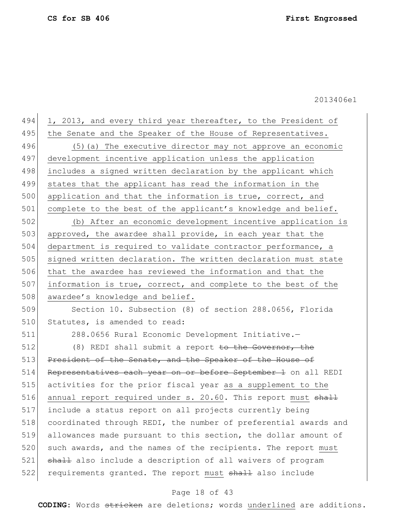494 1, 2013, and every third year thereafter, to the President of 495 | the Senate and the Speaker of the House of Representatives. 496 (5)(a) The executive director may not approve an economic 497 development incentive application unless the application 498 includes a signed written declaration by the applicant which 499 states that the applicant has read the information in the 500 application and that the information is true, correct, and 501 complete to the best of the applicant's knowledge and belief. 502 (b) After an economic development incentive application is

503 approved, the awardee shall provide, in each year that the 504 department is required to validate contractor performance, a 505 signed written declaration. The written declaration must state 506 that the awardee has reviewed the information and that the 507 information is true, correct, and complete to the best of the 508 awardee's knowledge and belief.

509 Section 10. Subsection (8) of section 288.0656, Florida 510 Statutes, is amended to read:

511 288.0656 Rural Economic Development Initiative.— 512 (8) REDI shall submit a report to the Governor, the 513 President of the Senate, and the Speaker of the House of 514 Representatives each year on or before September 1 on all REDI 515 activities for the prior fiscal year as a supplement to the 516 annual report required under s. 20.60. This report must shall 517 include a status report on all projects currently being 518 coordinated through REDI, the number of preferential awards and 519 allowances made pursuant to this section, the dollar amount of 520 such awards, and the names of the recipients. The report must 521 shall also include a description of all waivers of program 522 requirements granted. The report must shall also include

## Page 18 of 43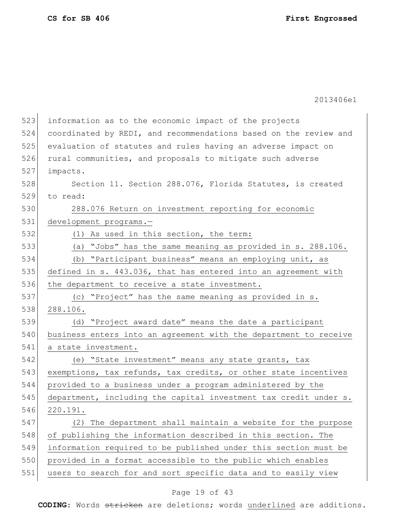2013406e1

| 523 | information as to the economic impact of the projects            |
|-----|------------------------------------------------------------------|
| 524 | coordinated by REDI, and recommendations based on the review and |
| 525 | evaluation of statutes and rules having an adverse impact on     |
| 526 | rural communities, and proposals to mitigate such adverse        |
| 527 | impacts.                                                         |
| 528 | Section 11. Section 288.076, Florida Statutes, is created        |
| 529 | to read:                                                         |
| 530 | 288.076 Return on investment reporting for economic              |
| 531 | development programs.-                                           |
| 532 | (1) As used in this section, the term:                           |
| 533 | (a) "Jobs" has the same meaning as provided in s. 288.106.       |
| 534 | (b) "Participant business" means an employing unit, as           |
| 535 | defined in s. 443.036, that has entered into an agreement with   |
| 536 | the department to receive a state investment.                    |
| 537 | (c) "Project" has the same meaning as provided in s.             |
| 538 | 288.106.                                                         |
| 539 | (d) "Project award date" means the date a participant            |
| 540 | business enters into an agreement with the department to receive |
| 541 | a state investment.                                              |
| 542 | (e) "State investment" means any state grants, tax               |
| 543 | exemptions, tax refunds, tax credits, or other state incentives  |
| 544 | provided to a business under a program administered by the       |
| 545 | department, including the capital investment tax credit under s. |
| 546 | 220.191.                                                         |
| 547 | (2) The department shall maintain a website for the purpose      |
| 548 | of publishing the information described in this section. The     |
| 549 | information required to be published under this section must be  |
| 550 | provided in a format accessible to the public which enables      |
| 551 | users to search for and sort specific data and to easily view    |
|     |                                                                  |

# Page 19 of 43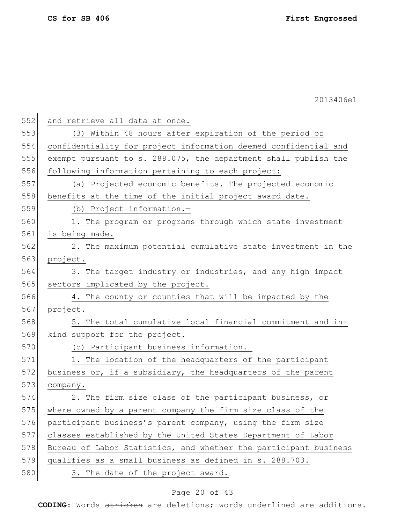| 552 | and retrieve all data at once.                                   |
|-----|------------------------------------------------------------------|
| 553 | (3) Within 48 hours after expiration of the period of            |
| 554 | confidentiality for project information deemed confidential and  |
| 555 | exempt pursuant to s. 288.075, the department shall publish the  |
| 556 | following information pertaining to each project:                |
| 557 | (a) Projected economic benefits. The projected economic          |
| 558 | benefits at the time of the initial project award date.          |
| 559 | (b) Project information.-                                        |
| 560 | 1. The program or programs through which state investment        |
| 561 | is being made.                                                   |
| 562 | 2. The maximum potential cumulative state investment in the      |
| 563 | project.                                                         |
| 564 | 3. The target industry or industries, and any high impact        |
| 565 | sectors implicated by the project.                               |
| 566 | 4. The county or counties that will be impacted by the           |
| 567 | project.                                                         |
| 568 | 5. The total cumulative local financial commitment and in-       |
| 569 | kind support for the project.                                    |
| 570 | (c) Participant business information.-                           |
| 571 | 1. The location of the headquarters of the participant           |
| 572 | business or, if a subsidiary, the headquarters of the parent     |
| 573 | company.                                                         |
| 574 | 2. The firm size class of the participant business, or           |
| 575 | where owned by a parent company the firm size class of the       |
| 576 | participant business's parent company, using the firm size       |
| 577 | classes established by the United States Department of Labor     |
| 578 | Bureau of Labor Statistics, and whether the participant business |
| 579 | qualifies as a small business as defined in s. 288.703.          |
| 580 | 3. The date of the project award.                                |

# Page 20 of 43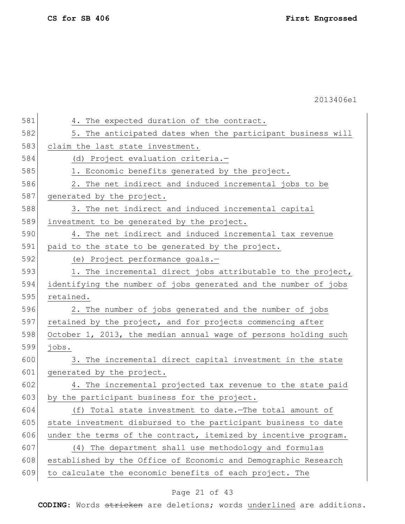| 581 | 4. The expected duration of the contract.                       |
|-----|-----------------------------------------------------------------|
| 582 | 5. The anticipated dates when the participant business will     |
| 583 | claim the last state investment.                                |
| 584 | (d) Project evaluation criteria.-                               |
| 585 | 1. Economic benefits generated by the project.                  |
| 586 | 2. The net indirect and induced incremental jobs to be          |
| 587 | generated by the project.                                       |
| 588 | 3. The net indirect and induced incremental capital             |
| 589 | investment to be generated by the project.                      |
| 590 | 4. The net indirect and induced incremental tax revenue         |
| 591 | paid to the state to be generated by the project.               |
| 592 | (e) Project performance goals.-                                 |
| 593 | 1. The incremental direct jobs attributable to the project,     |
| 594 | identifying the number of jobs generated and the number of jobs |
| 595 | retained.                                                       |
| 596 | 2. The number of jobs generated and the number of jobs          |
| 597 | retained by the project, and for projects commencing after      |
| 598 | October 1, 2013, the median annual wage of persons holding such |
| 599 | jobs.                                                           |
| 600 | 3. The incremental direct capital investment in the state       |
| 601 | generated by the project.                                       |
| 602 | 4. The incremental projected tax revenue to the state paid      |
| 603 | by the participant business for the project.                    |
| 604 | (f) Total state investment to date. - The total amount of       |
| 605 | state investment disbursed to the participant business to date  |
| 606 | under the terms of the contract, itemized by incentive program. |
| 607 | (4) The department shall use methodology and formulas           |
| 608 | established by the Office of Economic and Demographic Research  |
| 609 | to calculate the economic benefits of each project. The         |
|     |                                                                 |

# Page 21 of 43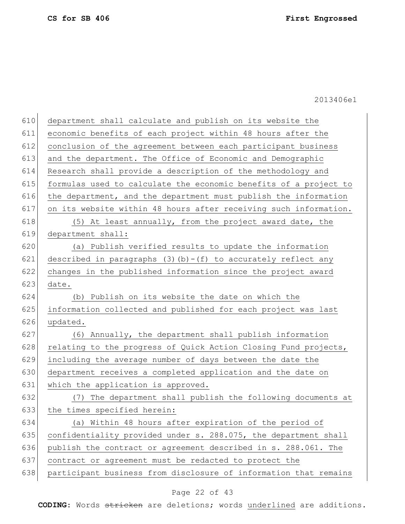| 610 | department shall calculate and publish on its website the        |
|-----|------------------------------------------------------------------|
| 611 | economic benefits of each project within 48 hours after the      |
| 612 | conclusion of the agreement between each participant business    |
| 613 | and the department. The Office of Economic and Demographic       |
| 614 | Research shall provide a description of the methodology and      |
| 615 | formulas used to calculate the economic benefits of a project to |
| 616 | the department, and the department must publish the information  |
| 617 | on its website within 48 hours after receiving such information. |
| 618 | (5) At least annually, from the project award date, the          |
| 619 | department shall:                                                |
| 620 | (a) Publish verified results to update the information           |
| 621 | described in paragraphs $(3)(b)-(f)$ to accurately reflect any   |
| 622 | changes in the published information since the project award     |
| 623 | date.                                                            |
| 624 | (b) Publish on its website the date on which the                 |
| 625 | information collected and published for each project was last    |
| 626 | updated.                                                         |
| 627 | (6) Annually, the department shall publish information           |
| 628 | relating to the progress of Quick Action Closing Fund projects,  |
| 629 | including the average number of days between the date the        |
| 630 | department receives a completed application and the date on      |
| 631 | which the application is approved.                               |
| 632 | The department shall publish the following documents at<br>(7)   |
| 633 | the times specified herein:                                      |
| 634 | (a) Within 48 hours after expiration of the period of            |
| 635 | confidentiality provided under s. 288.075, the department shall  |
| 636 | publish the contract or agreement described in s. 288.061. The   |
| 637 | contract or agreement must be redacted to protect the            |
| 638 | participant business from disclosure of information that remains |

# Page 22 of 43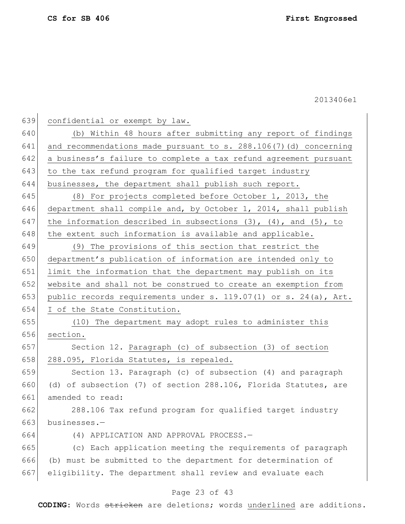confidential or exempt by law.

 (b) Within 48 hours after submitting any report of findings 641 and recommendations made pursuant to s. 288.106(7)(d) concerning a business's failure to complete a tax refund agreement pursuant 643 to the tax refund program for qualified target industry businesses, the department shall publish such report.

 (8) For projects completed before October 1, 2013, the department shall compile and, by October 1, 2014, shall publish 647 the information described in subsections  $(3)$ ,  $(4)$ , and  $(5)$ , to the extent such information is available and applicable.

 (9) The provisions of this section that restrict the department's publication of information are intended only to limit the information that the department may publish on its website and shall not be construed to create an exemption from public records requirements under s. 119.07(1) or s. 24(a), Art. I of the State Constitution.

 (10) The department may adopt rules to administer this section.

 Section 12. Paragraph (c) of subsection (3) of section 658 288.095, Florida Statutes, is repealed.

 Section 13. Paragraph (c) of subsection (4) and paragraph (d) of subsection (7) of section 288.106, Florida Statutes, are amended to read:

 288.106 Tax refund program for qualified target industry 663 businesses.-

(4) APPLICATION AND APPROVAL PROCESS.—

 (c) Each application meeting the requirements of paragraph (b) must be submitted to the department for determination of eligibility. The department shall review and evaluate each

## Page 23 of 43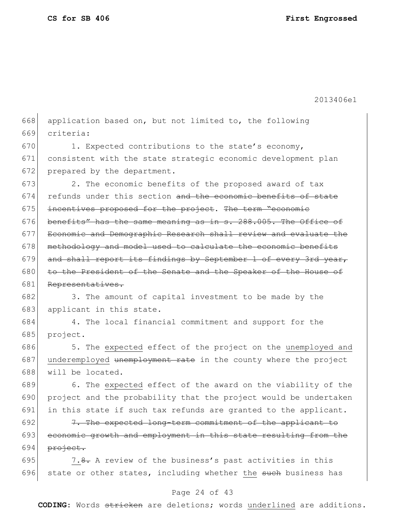2013406e1

| 668 | application based on, but not limited to, the following          |
|-----|------------------------------------------------------------------|
| 669 | criteria:                                                        |
| 670 | 1. Expected contributions to the state's economy,                |
| 671 | consistent with the state strategic economic development plan    |
| 672 | prepared by the department.                                      |
| 673 | 2. The economic benefits of the proposed award of tax            |
| 674 | refunds under this section and the economic benefits of state    |
| 675 | incentives proposed for the project. The term "economic          |
| 676 | benefits" has the same meaning as in s. 288.005. The Office of   |
| 677 | Economic and Demographic Research shall review and evaluate the  |
| 678 | methodology and model used to calculate the economic benefits    |
| 679 | and shall report its findings by September 1 of every 3rd year,  |
| 680 | to the President of the Senate and the Speaker of the House of   |
| 681 | Representatives.                                                 |
| 682 | 3. The amount of capital investment to be made by the            |
| 683 | applicant in this state.                                         |
| 684 | 4. The local financial commitment and support for the            |
| 685 | project.                                                         |
| 686 | 5. The expected effect of the project on the unemployed and      |
| 687 | underemployed unemployment rate in the county where the project  |
| 688 | will be located.                                                 |
| 689 | 6. The expected effect of the award on the viability of the      |
| 690 | project and the probability that the project would be undertaken |
| 691 | in this state if such tax refunds are granted to the applicant.  |
| 692 | 7. The expected long-term commitment of the applicant to         |
| 693 | economic growth and employment in this state resulting from the  |
| 694 | project.                                                         |

695  $7.8$ . A review of the business's past activities in this 696 state or other states, including whether the such business has

## Page 24 of 43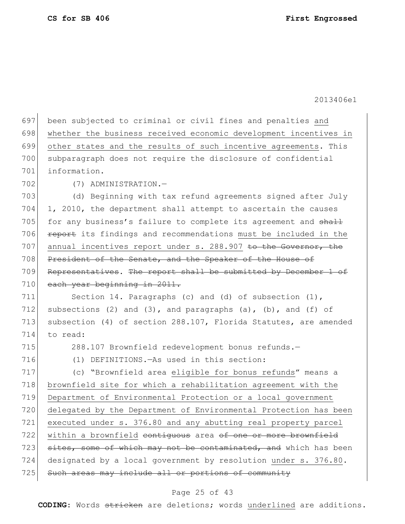697 been subjected to criminal or civil fines and penalties and 698 whether the business received economic development incentives in 699 other states and the results of such incentive agreements. This 700 subparagraph does not require the disclosure of confidential 701 information. 702 (7) ADMINISTRATION.— 703 (d) Beginning with tax refund agreements signed after July 704 1, 2010, the department shall attempt to ascertain the causes 705 for any business's failure to complete its agreement and  $shall$ 706 **report** its findings and recommendations must be included in the 707 annual incentives report under s. 288.907 to the Governor, the 708 President of the Senate, and the Speaker of the House of 709 Representatives. The report shall be submitted by December 1 of 710 each year beginning in 2011. 711 Section 14. Paragraphs (c) and (d) of subsection (1), 712 subsections (2) and (3), and paragraphs (a), (b), and (f) of 713 subsection (4) of section 288.107, Florida Statutes, are amended 714 to read: 715 288.107 Brownfield redevelopment bonus refunds. 716 (1) DEFINITIONS.—As used in this section: 717 (c) "Brownfield area eligible for bonus refunds" means a 718 brownfield site for which a rehabilitation agreement with the 719 Department of Environmental Protection or a local government 720 delegated by the Department of Environmental Protection has been 721 executed under s. 376.80 and any abutting real property parcel 722 within a brownfield contiguous area of one or more brownfield 723 sites, some of which may not be contaminated, and which has been 724 designated by a local government by resolution under s. 376.80. 725 Such areas may include all or portions of community

## Page 25 of 43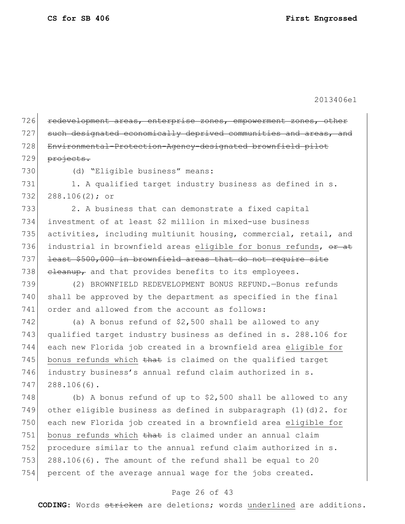| 726 | redevelopment areas, enterprise zones, empowerment zones, other   |
|-----|-------------------------------------------------------------------|
| 727 | such designated economically deprived communities and areas, and  |
| 728 | Environmental-Protection-Agency-designated brownfield pilot       |
| 729 | projects.                                                         |
| 730 | (d) "Eligible business" means:                                    |
| 731 | 1. A qualified target industry business as defined in s.          |
| 732 | $288.106(2);$ or                                                  |
| 733 | 2. A business that can demonstrate a fixed capital                |
| 734 | investment of at least \$2 million in mixed-use business          |
| 735 | activities, including multiunit housing, commercial, retail, and  |
| 736 | industrial in brownfield areas eligible for bonus refunds, or at  |
| 737 | least \$500,000 in brownfield areas that do not require site      |
| 738 | eleanup, and that provides benefits to its employees.             |
| 739 | (2) BROWNFIELD REDEVELOPMENT BONUS REFUND. - Bonus refunds        |
| 740 | shall be approved by the department as specified in the final     |
| 741 | order and allowed from the account as follows:                    |
| 742 | (a) A bonus refund of \$2,500 shall be allowed to any             |
| 743 | qualified target industry business as defined in s. 288.106 for   |
| 744 | each new Florida job created in a brownfield area eligible for    |
| 745 | bonus refunds which that is claimed on the qualified target       |
| 746 | industry business's annual refund claim authorized in s.          |
| 747 | $288.106(6)$ .                                                    |
| 748 | (b) A bonus refund of up to $$2,500$ shall be allowed to any      |
| 749 | other eligible business as defined in subparagraph (1) (d) 2. for |
| 750 | each new Florida job created in a brownfield area eligible for    |
| 751 | bonus refunds which that is claimed under an annual claim         |
| 752 | procedure similar to the annual refund claim authorized in s.     |
| 753 | 288.106(6). The amount of the refund shall be equal to 20         |
| 754 | percent of the average annual wage for the jobs created.          |

# Page 26 of 43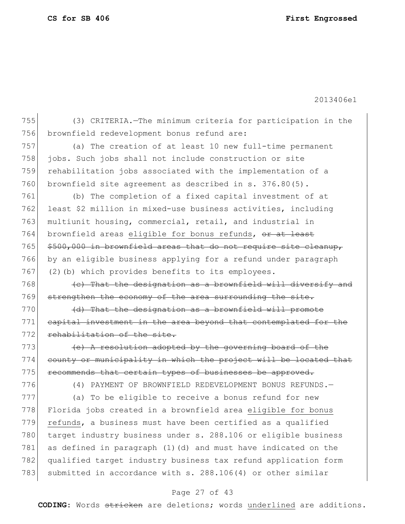2013406e1

 (3) CRITERIA.—The minimum criteria for participation in the 756 brownfield redevelopment bonus refund are: (a) The creation of at least 10 new full-time permanent jobs. Such jobs shall not include construction or site rehabilitation jobs associated with the implementation of a 760 brownfield site agreement as described in s. 376.80(5). (b) The completion of a fixed capital investment of at 762 least \$2 million in mixed-use business activities, including multiunit housing, commercial, retail, and industrial in 764 brownfield areas eligible for bonus refunds, or at least  $$500,000$  in brownfield areas that do not require site cleanup, by an eligible business applying for a refund under paragraph 767 (2)(b) which provides benefits to its employees. (c) That the designation as a brownfield will diversify and 769 strengthen the economy of the area surrounding the site. (d) That the designation as a brownfield will promote 771 capital investment in the area beyond that contemplated for the 772 rehabilitation of the site.  $\left\{\n\begin{array}{ccc}\n\text{+e} & \text{A resolution adopted by the governing board of the}\n\end{array}\n\right.$  county or municipality in which the project will be located that 775 recommends that certain types of businesses be approved. (4) PAYMENT OF BROWNFIELD REDEVELOPMENT BONUS REFUNDS.— (a) To be eligible to receive a bonus refund for new

778 Florida jobs created in a brownfield area eligible for bonus 779 refunds, a business must have been certified as a qualified 780 target industry business under s. 288.106 or eligible business 781 as defined in paragraph  $(1)$   $(d)$  and must have indicated on the 782 qualified target industry business tax refund application form 783 submitted in accordance with s. 288.106(4) or other similar

## Page 27 of 43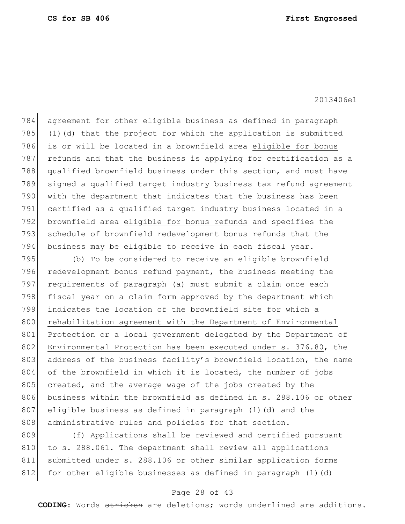agreement for other eligible business as defined in paragraph  $(1)(d)$  that the project for which the application is submitted 786 is or will be located in a brownfield area eligible for bonus 787 refunds and that the business is applying for certification as a 788 qualified brownfield business under this section, and must have signed a qualified target industry business tax refund agreement with the department that indicates that the business has been certified as a qualified target industry business located in a 792 brownfield area eligible for bonus refunds and specifies the schedule of brownfield redevelopment bonus refunds that the business may be eligible to receive in each fiscal year.

795 (b) To be considered to receive an eligible brownfield 796 redevelopment bonus refund payment, the business meeting the 797 requirements of paragraph (a) must submit a claim once each 798 fiscal year on a claim form approved by the department which 799 indicates the location of the brownfield site for which a 800 rehabilitation agreement with the Department of Environmental 801 Protection or a local government delegated by the Department of 802 Environmental Protection has been executed under s. 376.80, the 803 address of the business facility's brownfield location, the name 804 of the brownfield in which it is located, the number of jobs 805 created, and the average wage of the jobs created by the 806 business within the brownfield as defined in s. 288.106 or other 807 eligible business as defined in paragraph (1)(d) and the 808 administrative rules and policies for that section.

809 (f) Applications shall be reviewed and certified pursuant 810 to s. 288.061. The department shall review all applications 811 submitted under s. 288.106 or other similar application forms 812 for other eligible businesses as defined in paragraph  $(1)(d)$ 

## Page 28 of 43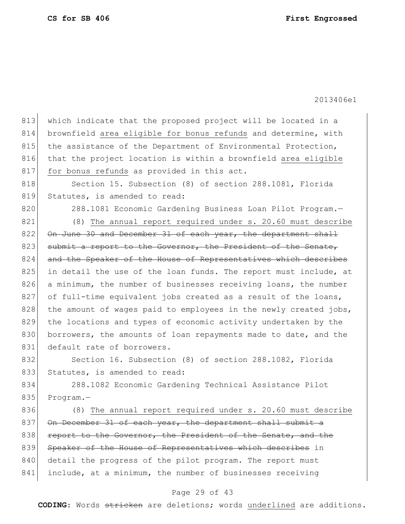813 which indicate that the proposed project will be located in a 814 brownfield area eligible for bonus refunds and determine, with 815 the assistance of the Department of Environmental Protection, 816 that the project location is within a brownfield area eligible 817 for bonus refunds as provided in this act. 818 Section 15. Subsection (8) of section 288.1081, Florida 819 Statutes, is amended to read: 820 288.1081 Economic Gardening Business Loan Pilot Program.-821 (8) The annual report required under s. 20.60 must describe 822 On June 30 and December 31 of each year, the department shall 823 submit a report to the Governor, the President of the Senate, 824 and the Speaker of the House of Representatives which describes 825 in detail the use of the loan funds. The report must include, at 826 a minimum, the number of businesses receiving loans, the number 827 of full-time equivalent jobs created as a result of the loans, 828 | the amount of wages paid to employees in the newly created jobs, 829 the locations and types of economic activity undertaken by the 830 borrowers, the amounts of loan repayments made to date, and the 831 default rate of borrowers. 832 Section 16. Subsection (8) of section 288.1082, Florida 833 Statutes, is amended to read:

834 288.1082 Economic Gardening Technical Assistance Pilot 835 Program.-

836 (8) The annual report required under s. 20.60 must describe 837 On December 31 of each year, the department shall submit a 838 report to the Governor, the President of the Senate, and the 839 Speaker of the House of Representatives which describes in 840 detail the progress of the pilot program. The report must 841 include, at a minimum, the number of businesses receiving

## Page 29 of 43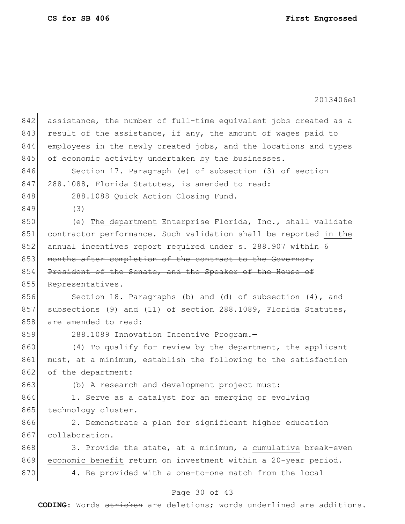| 842 | assistance, the number of full-time equivalent jobs created as a |
|-----|------------------------------------------------------------------|
| 843 | result of the assistance, if any, the amount of wages paid to    |
| 844 | employees in the newly created jobs, and the locations and types |
| 845 | of economic activity undertaken by the businesses.               |
| 846 | Section 17. Paragraph (e) of subsection (3) of section           |
| 847 | 288.1088, Florida Statutes, is amended to read:                  |
| 848 | 288.1088 Quick Action Closing Fund.-                             |
| 849 | (3)                                                              |
| 850 | (e) The department Enterprise Florida, Inc., shall validate      |
| 851 | contractor performance. Such validation shall be reported in the |
| 852 | annual incentives report required under s. 288.907 within 6      |
| 853 | months after completion of the contract to the Governor,         |
| 854 | President of the Senate, and the Speaker of the House of         |
| 855 | Representatives.                                                 |
| 856 | Section 18. Paragraphs (b) and (d) of subsection $(4)$ , and     |
| 857 | subsections (9) and (11) of section 288.1089, Florida Statutes,  |
| 858 | are amended to read:                                             |
| 859 | 288.1089 Innovation Incentive Program.-                          |
| 860 | (4) To qualify for review by the department, the applicant       |
| 861 | must, at a minimum, establish the following to the satisfaction  |
| 862 | of the department:                                               |
| 863 | (b) A research and development project must:                     |
| 864 | 1. Serve as a catalyst for an emerging or evolving               |
| 865 | technology cluster.                                              |
| 866 | 2. Demonstrate a plan for significant higher education           |
| 867 | collaboration.                                                   |
| 868 | 3. Provide the state, at a minimum, a cumulative break-even      |
| 869 | economic benefit return on investment within a 20-year period.   |
| 870 | 4. Be provided with a one-to-one match from the local            |
|     | Page 30 of 43                                                    |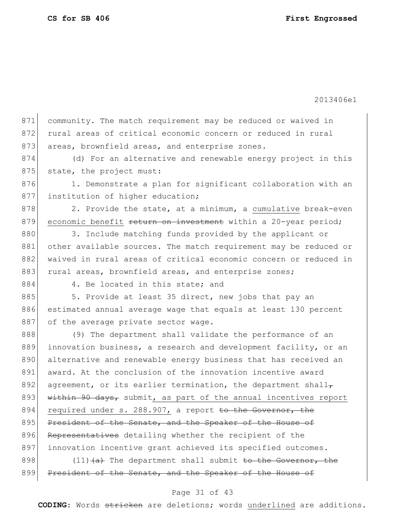871 community. The match requirement may be reduced or waived in 872 rural areas of critical economic concern or reduced in rural 873 areas, brownfield areas, and enterprise zones. 874 (d) For an alternative and renewable energy project in this 875 state, the project must: 876 1. Demonstrate a plan for significant collaboration with an 877 institution of higher education;  $878$  2. Provide the state, at a minimum, a cumulative break-even 879 economic benefit return on investment within a 20-year period; 880 3. Include matching funds provided by the applicant or 881 other available sources. The match requirement may be reduced or 882 waived in rural areas of critical economic concern or reduced in 883 rural areas, brownfield areas, and enterprise zones; 884 4. Be located in this state; and 885 5. Provide at least 35 direct, new jobs that pay an 886 estimated annual average wage that equals at least 130 percent 887 of the average private sector wage. 888 (9) The department shall validate the performance of an 889 innovation business, a research and development facility, or an 890 alternative and renewable energy business that has received an 891 award. At the conclusion of the innovation incentive award 892 agreement, or its earlier termination, the department shall-893 within 90 days, submit, as part of the annual incentives report 894 required under s. 288.907, a report to the Governor, the 895 President of the Senate, and the Speaker of the House of 896 Representatives detailing whether the recipient of the 897 innovation incentive grant achieved its specified outcomes. 898  $(11)$   $(a)$  The department shall submit to the Governor, the 899 President of the Senate, and the Speaker of the House of

## Page 31 of 43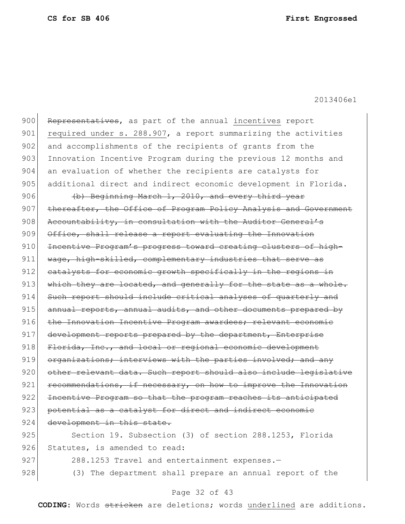900 Representatives, as part of the annual incentives report 901 required under s. 288.907, a report summarizing the activities 902 and accomplishments of the recipients of grants from the 903 Innovation Incentive Program during the previous 12 months and 904 an evaluation of whether the recipients are catalysts for 905 additional direct and indirect economic development in Florida. 906 (b) Beginning March 1, 2010, and every third year 907 thereafter, the Office of Program Policy Analysis and Government 908 Accountability, in consultation with the Auditor General's 909 Office, shall release a report evaluating the Innovation 910 <del>Incentive Program's progress toward creating clusters of high-</del> 911 wage, high-skilled, complementary industries that serve as 912 catalysts for economic growth specifically in the regions in 913 which they are located, and generally for the state as a whole. 914 Such report should include critical analyses of quarterly and 915 annual reports, annual audits, and other documents prepared by 916 the Innovation Incentive Program awardees; relevant economic 917 development reports prepared by the department, Enterprise 918 Florida, Inc., and local or regional economic development 919 organizations; interviews with the parties involved; and any 920 other relevant data. Such report should also include legislative  $921$  recommendations, if necessary, on how to improve the Innovation 922 Incentive Program so that the program reaches its anticipated 923 potential as a catalyst for direct and indirect economic 924 development in this state. 925 Section 19. Subsection (3) of section 288.1253, Florida 926 Statutes, is amended to read: 927 288.1253 Travel and entertainment expenses.-928 (3) The department shall prepare an annual report of the

## Page 32 of 43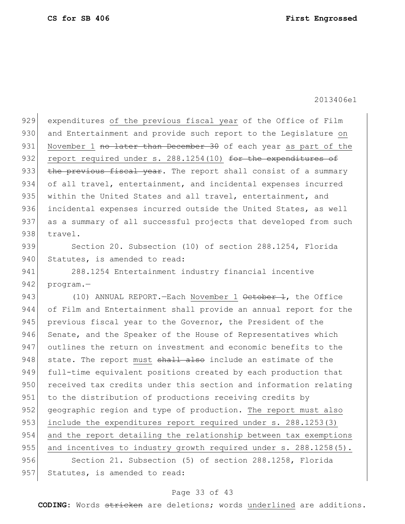929 expenditures of the previous fiscal year of the Office of Film 930 and Entertainment and provide such report to the Legislature on 931 November 1 no later than December 30 of each year as part of the 932 report required under s. 288.1254(10) for the expenditures of 933 the previous fiscal year. The report shall consist of a summary 934 of all travel, entertainment, and incidental expenses incurred 935 within the United States and all travel, entertainment, and 936 incidental expenses incurred outside the United States, as well 937 as a summary of all successful projects that developed from such 938 travel. 939 Section 20. Subsection (10) of section 288.1254, Florida 940 Statutes, is amended to read: 941 288.1254 Entertainment industry financial incentive 942 program.-943 (10) ANNUAL REPORT. - Each November 1 October 1, the Office 944 of Film and Entertainment shall provide an annual report for the 945 previous fiscal year to the Governor, the President of the 946 Senate, and the Speaker of the House of Representatives which 947 outlines the return on investment and economic benefits to the 948 state. The report must shall also include an estimate of the 949 full-time equivalent positions created by each production that 950 received tax credits under this section and information relating 951 to the distribution of productions receiving credits by 952 geographic region and type of production. The report must also 953 include the expenditures report required under s. 288.1253(3) 954 and the report detailing the relationship between tax exemptions 955 and incentives to industry growth required under s. 288.1258(5). 956 Section 21. Subsection (5) of section 288.1258, Florida 957 Statutes, is amended to read:

## Page 33 of 43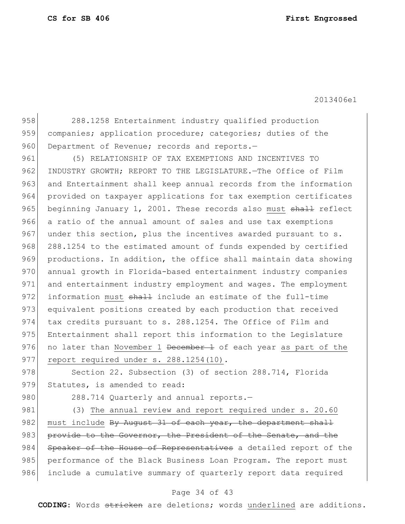958 288.1258 Entertainment industry qualified production 959 companies; application procedure; categories; duties of the 960 Department of Revenue; records and reports.-

961 (5) RELATIONSHIP OF TAX EXEMPTIONS AND INCENTIVES TO 962 INDUSTRY GROWTH; REPORT TO THE LEGISLATURE.-The Office of Film 963 and Entertainment shall keep annual records from the information 964 provided on taxpayer applications for tax exemption certificates 965 beginning January 1, 2001. These records also must shall reflect 966 a ratio of the annual amount of sales and use tax exemptions 967 under this section, plus the incentives awarded pursuant to s. 968 288.1254 to the estimated amount of funds expended by certified 969 productions. In addition, the office shall maintain data showing 970 annual growth in Florida-based entertainment industry companies 971 and entertainment industry employment and wages. The employment 972 information must shall include an estimate of the full-time 973 equivalent positions created by each production that received 974 tax credits pursuant to s. 288.1254. The Office of Film and 975 Entertainment shall report this information to the Legislature 976 no later than November 1 <del>December 1</del> of each year as part of the 977 report required under s. 288.1254(10).

978 Section 22. Subsection (3) of section 288.714, Florida 979 Statutes, is amended to read:

980 288.714 Quarterly and annual reports.-

981 (3) The annual review and report required under s. 20.60 982 must include By August 31 of each year, the department shall 983 provide to the Governor, the President of the Senate, and the 984 Speaker of the House of Representatives a detailed report of the 985 performance of the Black Business Loan Program. The report must 986 include a cumulative summary of quarterly report data required

## Page 34 of 43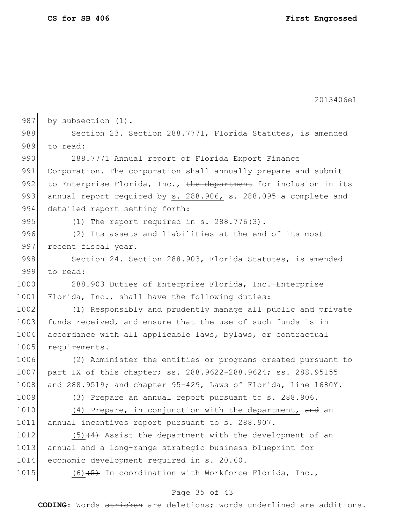2013406e1 987 by subsection (1). 988 Section 23. Section 288.7771, Florida Statutes, is amended 989 to read: 990 288.7771 Annual report of Florida Export Finance 991 Corporation.—The corporation shall annually prepare and submit 992 to Enterprise Florida, Inc., the department for inclusion in its 993 annual report required by s. 288.906,  $s. 288.095$  a complete and 994 detailed report setting forth: 995  $(1)$  The report required in s. 288.776 $(3)$ . 996 (2) Its assets and liabilities at the end of its most 997 recent fiscal year. 998 Section 24. Section 288.903, Florida Statutes, is amended 999 to read: 1000 288.903 Duties of Enterprise Florida, Inc.—Enterprise 1001 Florida, Inc., shall have the following duties: 1002 (1) Responsibly and prudently manage all public and private 1003 funds received, and ensure that the use of such funds is in 1004 accordance with all applicable laws, bylaws, or contractual 1005 requirements. 1006 (2) Administer the entities or programs created pursuant to 1007 part IX of this chapter; ss. 288.9622-288.9624; ss. 288.95155 1008 and 288.9519; and chapter 95-429, Laws of Florida, line 1680Y. 1009 (3) Prepare an annual report pursuant to s. 288.906. 1010 (4) Prepare, in conjunction with the department, and an 1011 annual incentives report pursuant to s. 288.907. 1012  $(5)$  (4) Assist the department with the development of an 1013 annual and a long-range strategic business blueprint for 1014 economic development required in s. 20.60. 1015  $(6)$   $(5)$  In coordination with Workforce Florida, Inc.,

## Page 35 of 43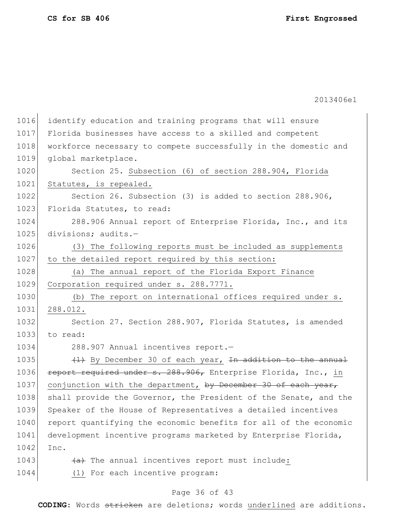1016 identify education and training programs that will ensure 1017 Florida businesses have access to a skilled and competent 1018 workforce necessary to compete successfully in the domestic and 1019 global marketplace. 1020 Section 25. Subsection (6) of section 288.904, Florida 1021 Statutes, is repealed. 1022 Section 26. Subsection (3) is added to section 288.906, 1023 Florida Statutes, to read: 1024 288.906 Annual report of Enterprise Florida, Inc., and its 1025 divisions; audits.-1026 (3) The following reports must be included as supplements 1027 to the detailed report required by this section: 1028 (a) The annual report of the Florida Export Finance 1029 Corporation required under s. 288.7771. 1030 (b) The report on international offices required under s. 1031 288.012. 1032 Section 27. Section 288.907, Florida Statutes, is amended 1033 to read: 1034 288.907 Annual incentives report. 1035  $(1)$  By December 30 of each year, <del>In addition to the annual</del> 1036 report required under s. 288.906, Enterprise Florida, Inc., in 1037 conjunction with the department, by December 30 of each year, 1038 | shall provide the Governor, the President of the Senate, and the 1039 Speaker of the House of Representatives a detailed incentives 1040 report quantifying the economic benefits for all of the economic 1041 development incentive programs marketed by Enterprise Florida, 1042 Inc.  $1043$  (a) The annual incentives report must include: 1044 (1) For each incentive program:

## Page 36 of 43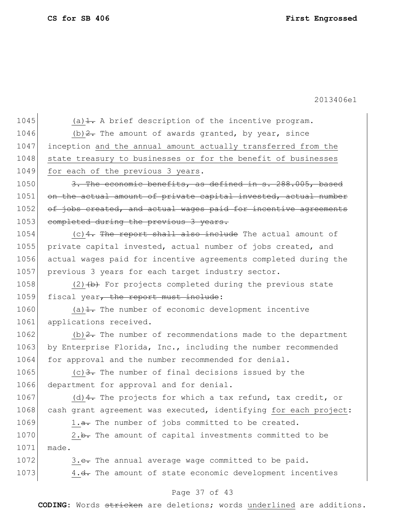2013406e1

1045 (a) $\pm$ . A brief description of the incentive program. 1046 (b)  $2$ . The amount of awards granted, by year, since 1047 inception and the annual amount actually transferred from the 1048 state treasury to businesses or for the benefit of businesses 1049 for each of the previous 3 years. 1050 3. The economic benefits, as defined in s. 288.005, based 1051 on the actual amount of private capital invested, actual number 1052 of jobs created, and actual wages paid for incentive agreements 1053 completed during the previous 3 years.  $1054$  (c) 4. The report shall also include The actual amount of 1055 private capital invested, actual number of jobs created, and 1056 actual wages paid for incentive agreements completed during the 1057 previous 3 years for each target industry sector. 1058 (2) $(b)$  For projects completed during the previous state 1059 fiscal year, the report must include: 1060 (a) $\frac{1}{1}$ . The number of economic development incentive 1061 applications received. 1062 (b)  $2$ . The number of recommendations made to the department 1063 by Enterprise Florida, Inc., including the number recommended 1064 for approval and the number recommended for denial. 1065 (c)  $\frac{3}{2}$ . The number of final decisions issued by the 1066 department for approval and for denial. 1067 (d)  $4$ . The projects for which a tax refund, tax credit, or 1068 cash grant agreement was executed, identifying for each project: 1069 1.a. The number of jobs committed to be created. 1070  $\vert$  2.b. The amount of capital investments committed to be 1071 made. 1072  $\sim$  3.e. The annual average wage committed to be paid. 1073 4.<del>d.</del> The amount of state economic development incentives

## Page 37 of 43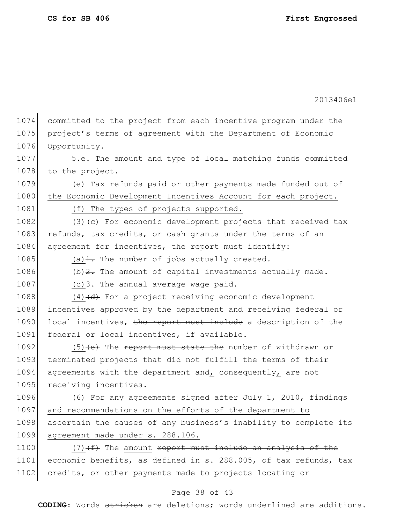1074 committed to the project from each incentive program under the 1075 project's terms of agreement with the Department of Economic 1076 Opportunity. 1077 5.e. The amount and type of local matching funds committed 1078 to the project. 1079 (e) Tax refunds paid or other payments made funded out of 1080 the Economic Development Incentives Account for each project. 1081 (f) The types of projects supported. 1082 (3) $\left\langle e\right\rangle$  For economic development projects that received tax 1083 refunds, tax credits, or cash grants under the terms of an 1084 agreement for incentives, the report must identify: 1085 (a) $\pm$  The number of jobs actually created. 1086  $(b)$   $\overline{2}$ . The amount of capital investments actually made. 1087 (c)  $\frac{3}{2}$ . The annual average wage paid. 1088  $(4)$   $(d)$  For a project receiving economic development 1089 incentives approved by the department and receiving federal or 1090 local incentives, the report must include a description of the 1091 federal or local incentives, if available. 1092 (5) (e) The report must state the number of withdrawn or 1093 terminated projects that did not fulfill the terms of their 1094 agreements with the department and, consequently, are not 1095 receiving incentives. 1096 (6) For any agreements signed after July 1, 2010, findings 1097 and recommendations on the efforts of the department to 1098 ascertain the causes of any business's inability to complete its 1099 agreement made under s. 288.106. 1100  $(7)$   $(f)$  The amount report must include an analysis of the 1101 economic benefits, as defined in s. 288.005, of tax refunds, tax 1102 credits, or other payments made to projects locating or

## Page 38 of 43

**CODING**: Words stricken are deletions; words underlined are additions.

2013406e1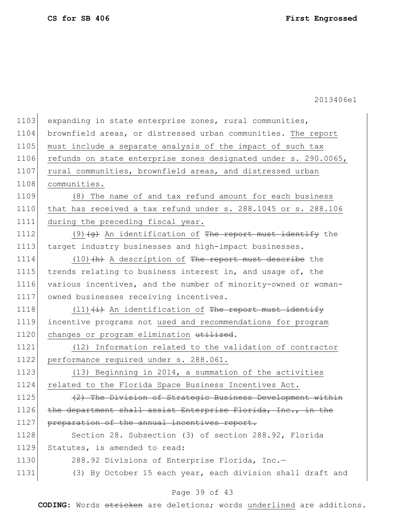| 1103 | expanding in state enterprise zones, rural communities,         |
|------|-----------------------------------------------------------------|
| 1104 | brownfield areas, or distressed urban communities. The report   |
| 1105 | must include a separate analysis of the impact of such tax      |
| 1106 | refunds on state enterprise zones designated under s. 290.0065, |
| 1107 | rural communities, brownfield areas, and distressed urban       |
| 1108 | communities.                                                    |
| 1109 | The name of and tax refund amount for each business<br>(8)      |
| 1110 | that has received a tax refund under s. 288.1045 or s. 288.106  |
| 1111 | during the preceding fiscal year.                               |
| 1112 | $(9)$ $(9)$ An identification of The report must identify the   |
| 1113 | target industry businesses and high-impact businesses.          |
| 1114 | $(10)$ $(h)$ A description of The report must describe the      |
| 1115 | trends relating to business interest in, and usage of, the      |
| 1116 | various incentives, and the number of minority-owned or woman-  |
| 1117 | owned businesses receiving incentives.                          |
| 1118 | $(11)$ $(i)$ An identification of The report must identify      |
| 1119 | incentive programs not used and recommendations for program     |
| 1120 | changes or program elimination utilized.                        |
| 1121 | (12) Information related to the validation of contractor        |
| 1122 | performance required under s. 288.061.                          |
| 1123 | (13) Beginning in 2014, a summation of the activities           |
| 1124 | related to the Florida Space Business Incentives Act.           |
| 1125 | (2) The Division of Strategic Business Development within       |
| 1126 | the department shall assist Enterprise Florida, Inc., in the    |
| 1127 | preparation of the annual incentives report.                    |
| 1128 | Section 28. Subsection (3) of section 288.92, Florida           |
| 1129 | Statutes, is amended to read:                                   |
| 1130 | 288.92 Divisions of Enterprise Florida, Inc.-                   |
| 1131 | (3) By October 15 each year, each division shall draft and      |
|      |                                                                 |

# Page 39 of 43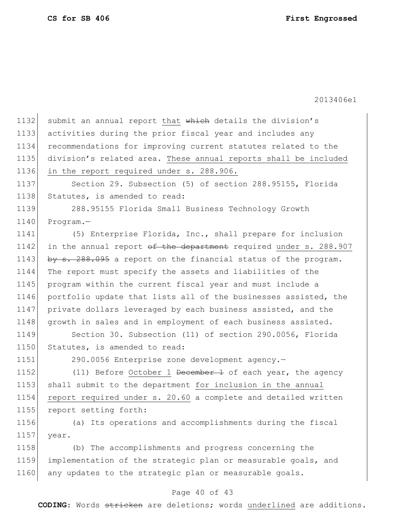1132 submit an annual report that which details the division's 1133 activities during the prior fiscal year and includes any 1134 recommendations for improving current statutes related to the 1135 division's related area. These annual reports shall be included 1136 in the report required under s. 288.906. 1137 Section 29. Subsection (5) of section 288.95155, Florida 1138 Statutes, is amended to read: 1139 288.95155 Florida Small Business Technology Growth 1140 Program.-1141 (5) Enterprise Florida, Inc., shall prepare for inclusion 1142 in the annual report of the department required under s. 288.907 1143 by  $s. 288.095$  a report on the financial status of the program. 1144 The report must specify the assets and liabilities of the 1145 program within the current fiscal year and must include a 1146 portfolio update that lists all of the businesses assisted, the 1147 private dollars leveraged by each business assisted, and the 1148 growth in sales and in employment of each business assisted. 1149 Section 30. Subsection (11) of section 290.0056, Florida 1150 Statutes, is amended to read: 1151 290.0056 Enterprise zone development agency.-1152 (11) Before October 1 <del>December 1</del> of each year, the agency 1153 shall submit to the department for inclusion in the annual 1154 report required under s. 20.60 a complete and detailed written 1155 report setting forth:

1156 (a) Its operations and accomplishments during the fiscal 1157 year.

1158 (b) The accomplishments and progress concerning the 1159 implementation of the strategic plan or measurable goals, and 1160 any updates to the strategic plan or measurable goals.

## Page 40 of 43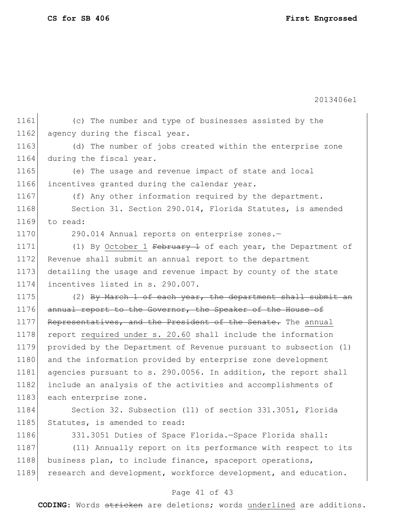2013406e1

1161 (c) The number and type of businesses assisted by the 1162 agency during the fiscal year. 1163 (d) The number of jobs created within the enterprise zone 1164 during the fiscal year. 1165 (e) The usage and revenue impact of state and local 1166 incentives granted during the calendar year. 1167 (f) Any other information required by the department. 1168 Section 31. Section 290.014, Florida Statutes, is amended 1169 to read: 1170 290.014 Annual reports on enterprise zones.-1171 (1) By October 1 February 1 of each year, the Department of 1172 Revenue shall submit an annual report to the department 1173 detailing the usage and revenue impact by county of the state 1174 incentives listed in s. 290.007. 1175 (2) By March 1 of each year, the department shall submit an 1176 annual report to the Governor, the Speaker of the House of 1177 Representatives, and the President of the Senate. The annual 1178 report required under s. 20.60 shall include the information 1179 provided by the Department of Revenue pursuant to subsection (1) 1180 and the information provided by enterprise zone development 1181 agencies pursuant to s. 290.0056. In addition, the report shall 1182 include an analysis of the activities and accomplishments of 1183 each enterprise zone. 1184 Section 32. Subsection (11) of section 331.3051, Florida 1185 Statutes, is amended to read: 1186 331.3051 Duties of Space Florida. - Space Florida shall: 1187 (11) Annually report on its performance with respect to its 1188 business plan, to include finance, spaceport operations, 1189 research and development, workforce development, and education.

## Page 41 of 43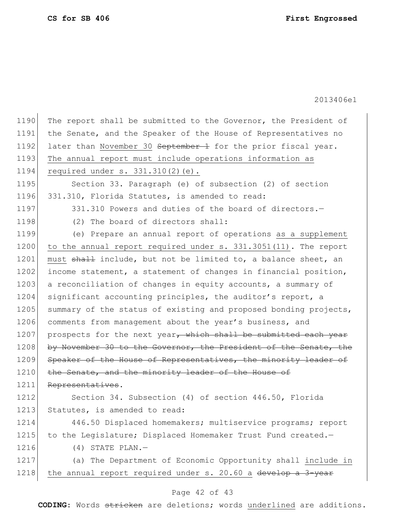$\mathbf{r}$ 

2013406e1

| 1190 | The report shall be submitted to the Governor, the President of  |
|------|------------------------------------------------------------------|
| 1191 | the Senate, and the Speaker of the House of Representatives no   |
| 1192 | later than November 30 September 1 for the prior fiscal year.    |
| 1193 | The annual report must include operations information as         |
| 1194 | required under $s. 331.310(2)$ (e).                              |
| 1195 | Section 33. Paragraph (e) of subsection (2) of section           |
| 1196 | 331.310, Florida Statutes, is amended to read:                   |
| 1197 | 331.310 Powers and duties of the board of directors.-            |
| 1198 | (2) The board of directors shall:                                |
| 1199 | (e) Prepare an annual report of operations as a supplement       |
| 1200 | to the annual report required under s. 331.3051(11). The report  |
| 1201 | must shall include, but not be limited to, a balance sheet, an   |
| 1202 | income statement, a statement of changes in financial position,  |
| 1203 | a reconciliation of changes in equity accounts, a summary of     |
| 1204 | significant accounting principles, the auditor's report, a       |
| 1205 | summary of the status of existing and proposed bonding projects, |
| 1206 | comments from management about the year's business, and          |
| 1207 | prospects for the next year, which shall be submitted each year  |
| 1208 | by November 30 to the Governor, the President of the Senate, the |
| 1209 | Speaker of the House of Representatives, the minority leader of  |
| 1210 | the Senate, and the minority leader of the House of              |
| 1211 | Representatives.                                                 |
| 1212 | Section 34. Subsection (4) of section 446.50, Florida            |
| 1213 | Statutes, is amended to read:                                    |
| 1214 | 446.50 Displaced homemakers; multiservice programs; report       |
| 1215 | to the Legislature; Displaced Homemaker Trust Fund created.-     |
| 1216 | $(4)$ STATE PLAN. -                                              |
| 1217 | (a) The Department of Economic Opportunity shall include in      |
| 1218 | the annual report required under s. 20.60 a develop a 3-year     |

# Page 42 of 43